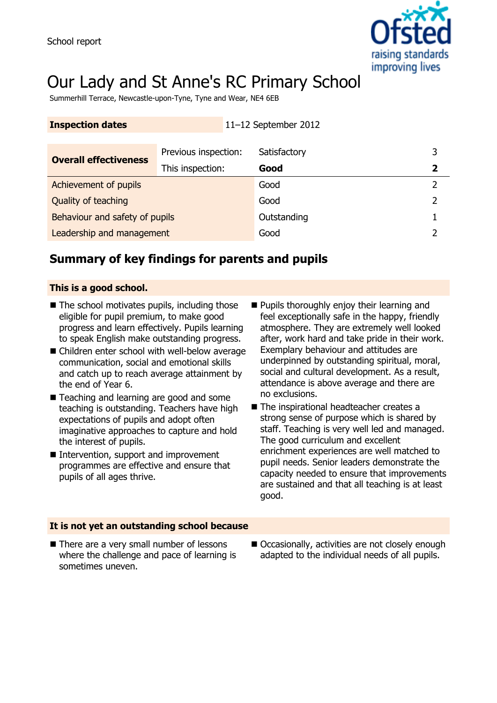

# Our Lady and St Anne's RC Primary School

Summerhill Terrace, Newcastle-upon-Tyne, Tyne and Wear, NE4 6EB

| <b>Inspection dates</b>        |                      | 11-12 September 2012 |  |
|--------------------------------|----------------------|----------------------|--|
|                                |                      |                      |  |
| <b>Overall effectiveness</b>   | Previous inspection: | Satisfactory         |  |
|                                | This inspection:     | Good                 |  |
| Achievement of pupils          |                      | Good                 |  |
| Quality of teaching            |                      | Good                 |  |
| Behaviour and safety of pupils |                      | Outstanding          |  |
| Leadership and management      |                      | Good                 |  |

### **Summary of key findings for parents and pupils**

#### **This is a good school.**

- $\blacksquare$  The school motivates pupils, including those eligible for pupil premium, to make good progress and learn effectively. Pupils learning to speak English make outstanding progress.
- Children enter school with well-below average communication, social and emotional skills and catch up to reach average attainment by the end of Year 6.
- Teaching and learning are good and some teaching is outstanding. Teachers have high expectations of pupils and adopt often imaginative approaches to capture and hold the interest of pupils.
- Intervention, support and improvement programmes are effective and ensure that pupils of all ages thrive.
- **Pupils thoroughly enjoy their learning and** feel exceptionally safe in the happy, friendly atmosphere. They are extremely well looked after, work hard and take pride in their work. Exemplary behaviour and attitudes are underpinned by outstanding spiritual, moral, social and cultural development. As a result, attendance is above average and there are no exclusions.
- The inspirational headteacher creates a strong sense of purpose which is shared by staff. Teaching is very well led and managed. The good curriculum and excellent enrichment experiences are well matched to pupil needs. Senior leaders demonstrate the capacity needed to ensure that improvements are sustained and that all teaching is at least good.

#### **It is not yet an outstanding school because**

- There are a very small number of lessons where the challenge and pace of learning is sometimes uneven.
- Occasionally, activities are not closely enough adapted to the individual needs of all pupils.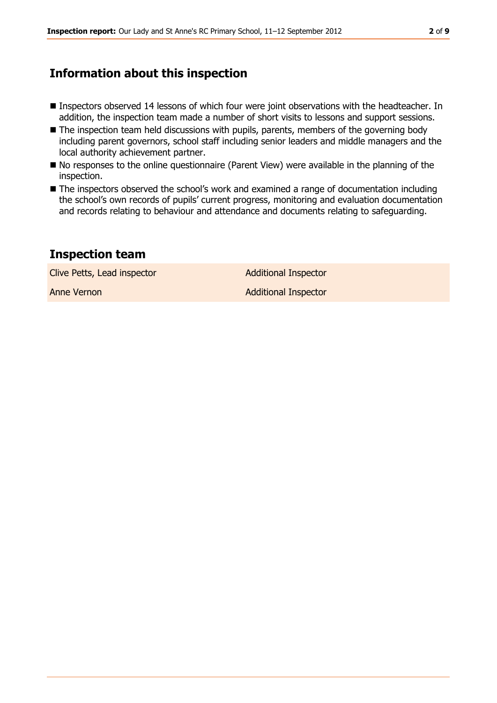### **Information about this inspection**

- **Inspectors observed 14 lessons of which four were joint observations with the headteacher. In** addition, the inspection team made a number of short visits to lessons and support sessions.
- The inspection team held discussions with pupils, parents, members of the governing body including parent governors, school staff including senior leaders and middle managers and the local authority achievement partner.
- $\blacksquare$  No responses to the online questionnaire (Parent View) were available in the planning of the inspection.
- The inspectors observed the school's work and examined a range of documentation including the school's own records of pupils' current progress, monitoring and evaluation documentation and records relating to behaviour and attendance and documents relating to safeguarding.

### **Inspection team**

Clive Petts, Lead inspector and a Additional Inspector

Anne Vernon **Additional Inspector**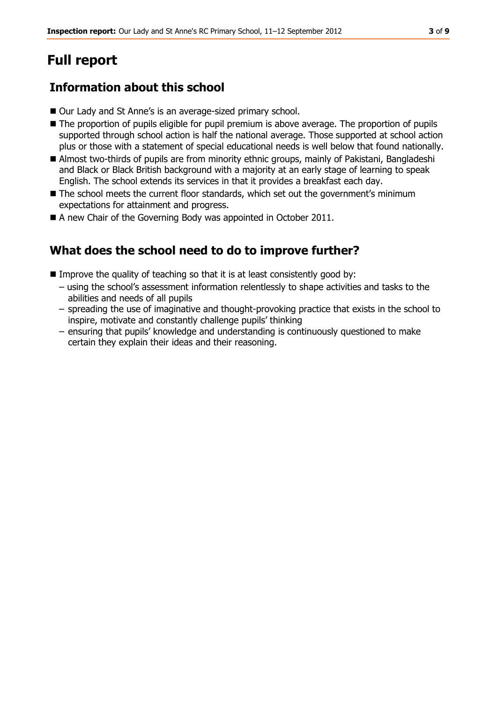## **Full report**

### **Information about this school**

- Our Lady and St Anne's is an average-sized primary school.
- The proportion of pupils eligible for pupil premium is above average. The proportion of pupils supported through school action is half the national average. Those supported at school action plus or those with a statement of special educational needs is well below that found nationally.
- Almost two-thirds of pupils are from minority ethnic groups, mainly of Pakistani, Bangladeshi and Black or Black British background with a majority at an early stage of learning to speak English. The school extends its services in that it provides a breakfast each day.
- The school meets the current floor standards, which set out the government's minimum expectations for attainment and progress.
- A new Chair of the Governing Body was appointed in October 2011.

### **What does the school need to do to improve further?**

- Improve the quality of teaching so that it is at least consistently good by:
	- using the school's assessment information relentlessly to shape activities and tasks to the abilities and needs of all pupils
	- spreading the use of imaginative and thought-provoking practice that exists in the school to inspire, motivate and constantly challenge pupils' thinking
	- ensuring that pupils' knowledge and understanding is continuously questioned to make certain they explain their ideas and their reasoning.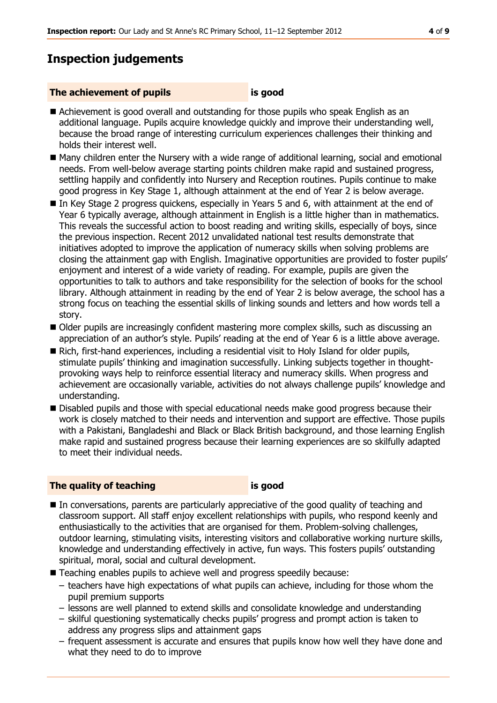### **Inspection judgements**

#### **The achievement of pupils is good**

- Achievement is good overall and outstanding for those pupils who speak English as an additional language. Pupils acquire knowledge quickly and improve their understanding well, because the broad range of interesting curriculum experiences challenges their thinking and holds their interest well.
- Many children enter the Nursery with a wide range of additional learning, social and emotional needs. From well-below average starting points children make rapid and sustained progress, settling happily and confidently into Nursery and Reception routines. Pupils continue to make good progress in Key Stage 1, although attainment at the end of Year 2 is below average.
- In Key Stage 2 progress guickens, especially in Years 5 and 6, with attainment at the end of Year 6 typically average, although attainment in English is a little higher than in mathematics. This reveals the successful action to boost reading and writing skills, especially of boys, since the previous inspection. Recent 2012 unvalidated national test results demonstrate that initiatives adopted to improve the application of numeracy skills when solving problems are closing the attainment gap with English. Imaginative opportunities are provided to foster pupils' enjoyment and interest of a wide variety of reading. For example, pupils are given the opportunities to talk to authors and take responsibility for the selection of books for the school library. Although attainment in reading by the end of Year 2 is below average, the school has a strong focus on teaching the essential skills of linking sounds and letters and how words tell a story.
- Older pupils are increasingly confident mastering more complex skills, such as discussing an appreciation of an author's style. Pupils' reading at the end of Year 6 is a little above average.
- Rich, first-hand experiences, including a residential visit to Holy Island for older pupils, stimulate pupils' thinking and imagination successfully. Linking subjects together in thoughtprovoking ways help to reinforce essential literacy and numeracy skills. When progress and achievement are occasionally variable, activities do not always challenge pupils' knowledge and understanding.
- Disabled pupils and those with special educational needs make good progress because their work is closely matched to their needs and intervention and support are effective. Those pupils with a Pakistani, Bangladeshi and Black or Black British background, and those learning English make rapid and sustained progress because their learning experiences are so skilfully adapted to meet their individual needs.

#### **The quality of teaching is good**

- In conversations, parents are particularly appreciative of the good quality of teaching and classroom support. All staff enjoy excellent relationships with pupils, who respond keenly and enthusiastically to the activities that are organised for them. Problem-solving challenges, outdoor learning, stimulating visits, interesting visitors and collaborative working nurture skills, knowledge and understanding effectively in active, fun ways. This fosters pupils' outstanding spiritual, moral, social and cultural development.
- Teaching enables pupils to achieve well and progress speedily because:
	- teachers have high expectations of what pupils can achieve, including for those whom the pupil premium supports
	- lessons are well planned to extend skills and consolidate knowledge and understanding
	- skilful questioning systematically checks pupils' progress and prompt action is taken to address any progress slips and attainment gaps
	- frequent assessment is accurate and ensures that pupils know how well they have done and what they need to do to improve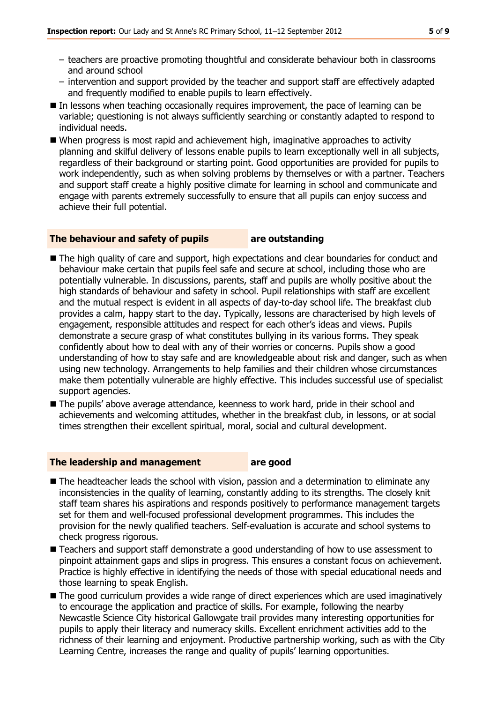- teachers are proactive promoting thoughtful and considerate behaviour both in classrooms and around school
- intervention and support provided by the teacher and support staff are effectively adapted and frequently modified to enable pupils to learn effectively.
- In lessons when teaching occasionally requires improvement, the pace of learning can be variable; questioning is not always sufficiently searching or constantly adapted to respond to individual needs.
- When progress is most rapid and achievement high, imaginative approaches to activity planning and skilful delivery of lessons enable pupils to learn exceptionally well in all subjects, regardless of their background or starting point. Good opportunities are provided for pupils to work independently, such as when solving problems by themselves or with a partner. Teachers and support staff create a highly positive climate for learning in school and communicate and engage with parents extremely successfully to ensure that all pupils can enjoy success and achieve their full potential.

#### **The behaviour and safety of pupils are outstanding**

- The high quality of care and support, high expectations and clear boundaries for conduct and behaviour make certain that pupils feel safe and secure at school, including those who are potentially vulnerable. In discussions, parents, staff and pupils are wholly positive about the high standards of behaviour and safety in school. Pupil relationships with staff are excellent and the mutual respect is evident in all aspects of day-to-day school life. The breakfast club provides a calm, happy start to the day. Typically, lessons are characterised by high levels of engagement, responsible attitudes and respect for each other's ideas and views. Pupils demonstrate a secure grasp of what constitutes bullying in its various forms. They speak confidently about how to deal with any of their worries or concerns. Pupils show a good understanding of how to stay safe and are knowledgeable about risk and danger, such as when using new technology. Arrangements to help families and their children whose circumstances make them potentially vulnerable are highly effective. This includes successful use of specialist support agencies.
- The pupils' above average attendance, keenness to work hard, pride in their school and achievements and welcoming attitudes, whether in the breakfast club, in lessons, or at social times strengthen their excellent spiritual, moral, social and cultural development.

#### **The leadership and management are good**

- The headteacher leads the school with vision, passion and a determination to eliminate any inconsistencies in the quality of learning, constantly adding to its strengths. The closely knit staff team shares his aspirations and responds positively to performance management targets set for them and well-focused professional development programmes. This includes the provision for the newly qualified teachers. Self-evaluation is accurate and school systems to check progress rigorous.
- Teachers and support staff demonstrate a good understanding of how to use assessment to pinpoint attainment gaps and slips in progress. This ensures a constant focus on achievement. Practice is highly effective in identifying the needs of those with special educational needs and those learning to speak English.
- The good curriculum provides a wide range of direct experiences which are used imaginatively to encourage the application and practice of skills. For example, following the nearby Newcastle Science City historical Gallowgate trail provides many interesting opportunities for pupils to apply their literacy and numeracy skills. Excellent enrichment activities add to the richness of their learning and enjoyment. Productive partnership working, such as with the City Learning Centre, increases the range and quality of pupils' learning opportunities.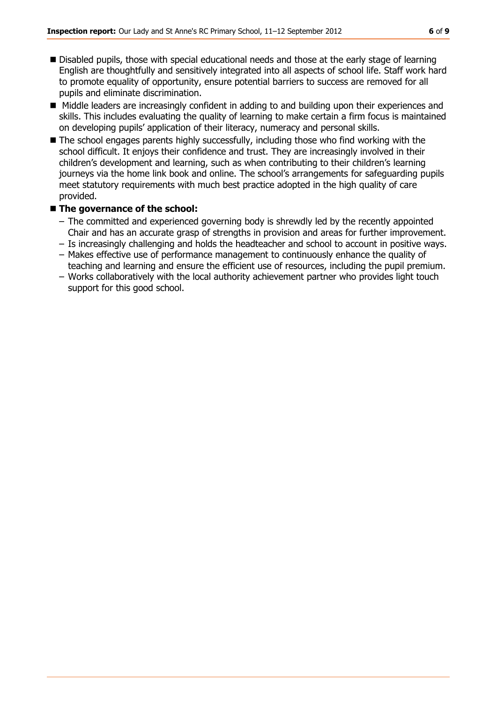- Disabled pupils, those with special educational needs and those at the early stage of learning English are thoughtfully and sensitively integrated into all aspects of school life. Staff work hard to promote equality of opportunity, ensure potential barriers to success are removed for all pupils and eliminate discrimination.
- Middle leaders are increasingly confident in adding to and building upon their experiences and skills. This includes evaluating the quality of learning to make certain a firm focus is maintained on developing pupils' application of their literacy, numeracy and personal skills.
- The school engages parents highly successfully, including those who find working with the school difficult. It enjoys their confidence and trust. They are increasingly involved in their children's development and learning, such as when contributing to their children's learning journeys via the home link book and online. The school's arrangements for safeguarding pupils meet statutory requirements with much best practice adopted in the high quality of care provided.

#### ■ The governance of the school:

- The committed and experienced governing body is shrewdly led by the recently appointed Chair and has an accurate grasp of strengths in provision and areas for further improvement.
- Is increasingly challenging and holds the headteacher and school to account in positive ways.
- Makes effective use of performance management to continuously enhance the quality of teaching and learning and ensure the efficient use of resources, including the pupil premium.
- Works collaboratively with the local authority achievement partner who provides light touch support for this good school.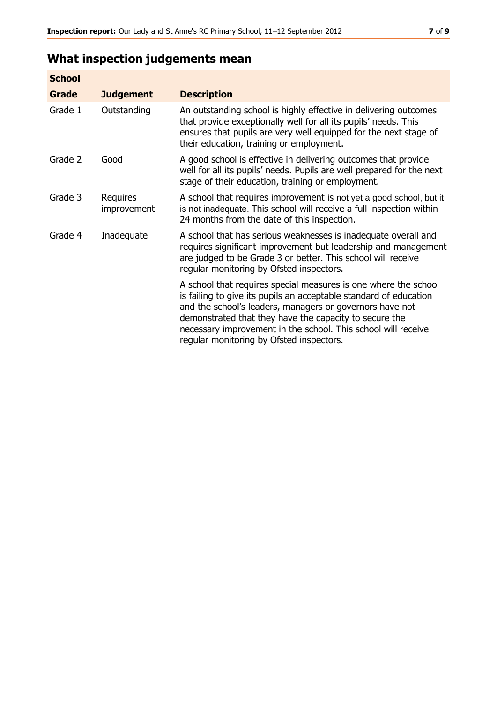### **What inspection judgements mean**

| <b>School</b> |                                |                                                                                                                                                                                                                                                                                                                                                                         |
|---------------|--------------------------------|-------------------------------------------------------------------------------------------------------------------------------------------------------------------------------------------------------------------------------------------------------------------------------------------------------------------------------------------------------------------------|
| Grade         | <b>Judgement</b>               | <b>Description</b>                                                                                                                                                                                                                                                                                                                                                      |
| Grade 1       | Outstanding                    | An outstanding school is highly effective in delivering outcomes<br>that provide exceptionally well for all its pupils' needs. This<br>ensures that pupils are very well equipped for the next stage of<br>their education, training or employment.                                                                                                                     |
| Grade 2       | Good                           | A good school is effective in delivering outcomes that provide<br>well for all its pupils' needs. Pupils are well prepared for the next<br>stage of their education, training or employment.                                                                                                                                                                            |
| Grade 3       | Requires<br><i>improvement</i> | A school that requires improvement is not yet a good school, but it<br>is not inadequate. This school will receive a full inspection within<br>24 months from the date of this inspection.                                                                                                                                                                              |
| Grade 4       | Inadequate                     | A school that has serious weaknesses is inadequate overall and<br>requires significant improvement but leadership and management<br>are judged to be Grade 3 or better. This school will receive<br>regular monitoring by Ofsted inspectors.                                                                                                                            |
|               |                                | A school that requires special measures is one where the school<br>is failing to give its pupils an acceptable standard of education<br>and the school's leaders, managers or governors have not<br>demonstrated that they have the capacity to secure the<br>necessary improvement in the school. This school will receive<br>regular monitoring by Ofsted inspectors. |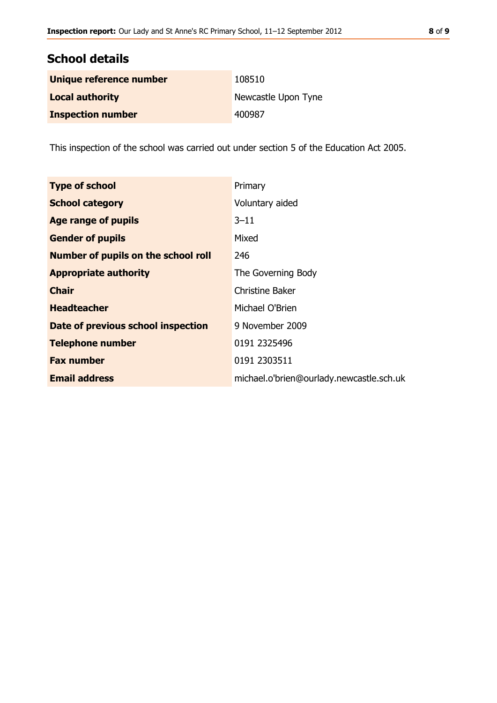| <b>School details</b>    |                     |  |  |  |
|--------------------------|---------------------|--|--|--|
| Unique reference number  | 108510              |  |  |  |
| <b>Local authority</b>   | Newcastle Upon Tyne |  |  |  |
| <b>Inspection number</b> | 400987              |  |  |  |

This inspection of the school was carried out under section 5 of the Education Act 2005.

| <b>Type of school</b>                      | Primary                                  |
|--------------------------------------------|------------------------------------------|
| <b>School category</b>                     | Voluntary aided                          |
| Age range of pupils                        | $3 - 11$                                 |
| <b>Gender of pupils</b>                    | Mixed                                    |
| <b>Number of pupils on the school roll</b> | 246                                      |
| <b>Appropriate authority</b>               | The Governing Body                       |
| <b>Chair</b>                               | <b>Christine Baker</b>                   |
| <b>Headteacher</b>                         | Michael O'Brien                          |
| Date of previous school inspection         | 9 November 2009                          |
| <b>Telephone number</b>                    | 0191 2325496                             |
| <b>Fax number</b>                          | 0191 2303511                             |
| <b>Email address</b>                       | michael.o'brien@ourlady.newcastle.sch.uk |